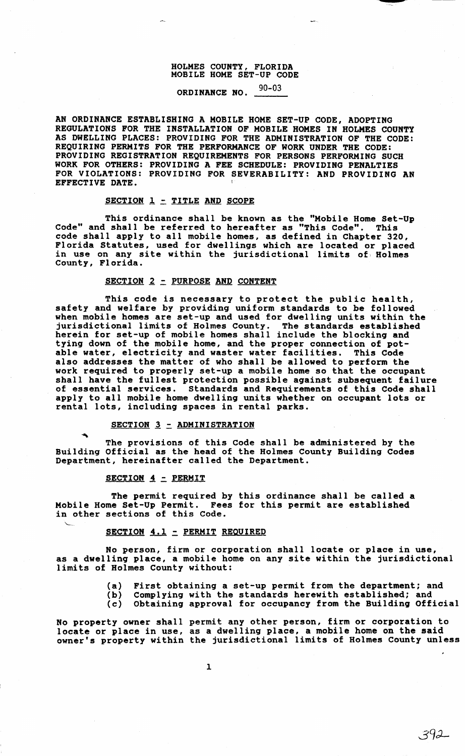### HOLMES COUNTY, FLORIDA MOBILE HOME SET-UP CODE

# ORDINANCE NO. 90-03

AN ORDINANCE ESTABLISHING A MOBILE HOME SET-UP CODE, ADOPTING REGULATIONS FOR THE INSTALLATION OF MOBILE HOMES IN HOLMES COUNTY AS DWELLING PLACES: PROVIDING FOR THE ADMINISTRATION OF THE CODE: REQUIRING PERMITS FOR THE PERFORMANCE OF WORK UNDER THE CODE: PROVIDING REGISTRATION REQUIREMENTS FOR PERSONS PERFORMING SUCH WORK FOR OTHERS: PROVIDING A FEE SCHEDULE: PROVIDING PENALTIES FOR VIOLATIONS: PROVIDING FOR SEVERABILITY: AND PROVIDING AN EFFECTIVE DATE.

## $SECTION 1 - TIME AND SCOPE$

This ordinance shall be known as the "Mobile Home Set-Up Code" and shall be referred to hereafter as "This Code". This code shall apply to all mobile homes, as defined in Chapter 320, Florida Statutes, used for dwellings which are located or placed in use on any site within the jurisdictional limits of Holmes County, Florida.

## SECTION 2 - PURPOSE AND CONTENT

This code is necessary to protect the public health, safety and welfare by providing uniform standards to be followed when mobile homes are set-up and used for dwelling units within the jurisdictional limits of Holmes County. The standards established herein for set-up of mobile homes shall include the blocking and tying down of the mobile home, and the proper connection of pot-<br>able water, electricity and waster water facilities. This Code able water, electricity and waster water facilities. also addresses the matter of who shall be allowed to perform the work required to properly set-up a mobile home so that the occupant shall have the fullest protection possible against subsequent failure of essential services. Standards and Requirements of this Code shall apply to all mobile home dwelling units whether on occupant lots or rental lots, including spaces in rental parks.

## $SECTION 3 - ADMINISTRATION$

The provisions of this Code shall be administered by the Building Official as the head of the Holmes County Building Codes Department, hereinafter called the Department.

#### SECTION  $4$  – PERMIT

 $\ddot{\phantom{1}}$ 

The permit required by this ordinance shall be called a Mobile Home Set-Up Permit. Fees for this permit are established in other sections of this Code.

#### SECTION 4.1 - PERMIT REQUIRED

No person, firm or corporation shall locate or place in use, as a dwelling place, a mobile home on any site within the jurisdictional limits of Holmes County without:

- (a) First obtaining a set-up permit from the department; and<br>(b) Complying with the standards herewith established; and
- (b) Complying with the standards herewith established; and (c) Obtaining approval for occupancy from the Building Off:
- Obtaining approval for occupancy from the Building Official

No property owner shall permit any other person, firm or corporation to locate or place in use, as a dwelling place, a mobile home on the said owner's property within the jurisdictional limits of Holmes County unless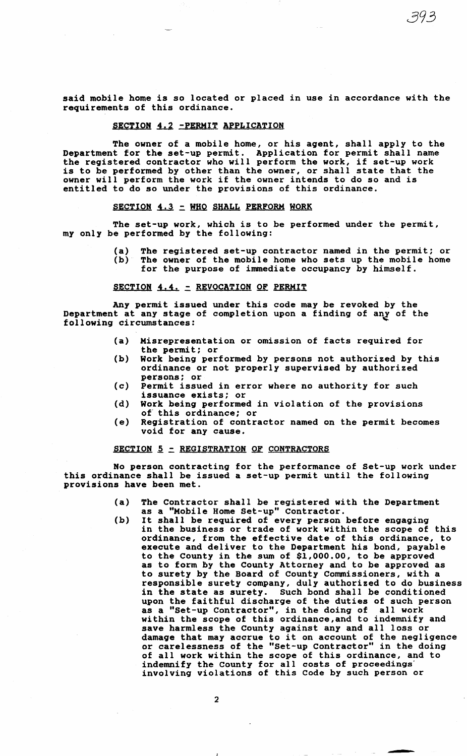said mobile home is so located or placed in use in accordance with the requirements of this ordinance.

## SECTION 4.2 -PERMIT APPLICATION

The owner of a mobile home, or his agent, shall apply to the Department for the set-up permit. Application for permit shall name the registered contractor who will perform the work, if set-up work is to be performed by other than the owner, or shall state that the owner will perform the work if the owner intends to do so and is entitled to do so under the provisions of this ordinance.

## SECTION 4.3 - WHO SHALL PERFORM WORK

The set-up work, which is to be performed under the permit, my only be performed by the following:

> (a) The registered set-up contractor named in the permit; or (b) The owner of the mobile home The owner of the mobile home who sets up the mobile home for the purpose of immediate occupancy by himself.

## SECTION 4.4. - REVOCATION OF PERMIT

Any permit issued under this code may be revoked by the Department at any stage of completion upon a finding of any of the following circumstances: <sup>~</sup>

- {a) Misrepresentation or omission of facts required for the permit; or
- {b) Work being performed by persons not authorized by this ordinance or not properly supervised by authorized persons; or
- (c) Permit issued in error where no authority for such issuance exists; or
- {d) Work being performed in violation of the provisions of this ordinance; or
- (e) Registration of contractor named on the permit becomes void for any cause.

## **SECTION 5 - REGISTRATION OF CONTRACTORS**

No person contracting for the performance of Set-up work under this ordinance shall be issued a set-up permit until the following provisions have been met.

- (a) The Contractor shall be registered with the Department as a "Mobile Home Set-up" Contractor.
- (b) It shall be required of every person before engaging in the business or trade of work within the scope of this ordinance, from the effective date of this ordinance, to execute and deliver to the Department his bond, payable to the County in the sum of \$1,000.00, to be approved as to form by the County Attorney and to be approved as to surety by the Board of County Commissioners, with a responsible surety company, duly authorized to do business in the state as surety. Such bond shall be conditioned upon the faithful discharge of the duties of such person as a "Set-up Contractor", in the doing of all work within the scope of this ordinance, and to indemnify and save harmless the County against any and all loss or save narmiess the County against any and all loss or<br>damage that may accrue to it on account of the negligence or carelessness of the "Set-up Contractor" in the doing of all work within the scope of this ordinance, and to indemnify the County for all costs of proceedings' involving violations of this Code by such person or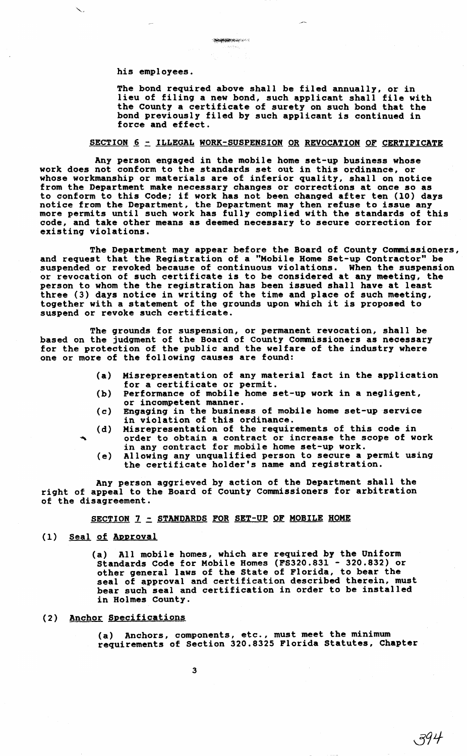his employees.

The bond required above shall be filed annually, or in lieu of filin9 a new bond, such applicant shall file with the County a certificate of surety on such bond that the bond previously filed by such applicant is continued in force and effect.

#### SECTION 6 - ILLEGAL WORK-SUSPENSION OR REVOCATION OF CERTIFICATE

Any person engaged in the mobile home set-up business whose work does not conform to the standards set out in this ordinance, or whose workmanship or materials are of inferior quality, shall on notice from the Department make necessary changes or corrections at once so as to conform to this Code; if work has not been changed after ten (10) days notice from the Department, the Department may then refuse to issue any notice from the Department, the Department may then refuse to issue any more permits until such work has fully complied with the standards of this code, and take other means as deemed necessary to secure correction for existing violations.

The Department may appear before the Board of County Commissioners, and request that the Registration of a "Mobile Home Set-up Contractor" be suspended or revoked because of continuous violations. When the suspension or revocation of such certificate is to be considered at any meeting, the person to whom the the registration has been issued shall have at least three (3) days notice in writing of the time and place of such meeting,<br>together with a statement of the grounds upon which it is proposed to suspend or revoke such certificate.

The grounds for suspension, or permanent revocation, shall be based on the judgment of the Board of County Commissioners as necessary for the protection of the public and the welfare of the industry where one or more of the following causes are found:

- (a) Misrepresentation of any material fact in the application for a certificate or permit.
- (b) Performance of mobile home set-up work in a negligent, or incompetent manner.
- (c) Engaging in the business of mobile home set-up service in violation of this ordinance.
- (d) Misrepresentation of the requirements of this code in order to obtain a contract or increase the scope of work in any contract for mobile home set-up work.
	- (e) Allowing any unqualified person to secure a permit using the certificate holder's name and registration.

Any person ag9rieved by action of the Department shall the right of appeal to the Board of County Commissioners for arbitration of the disagreement.

SECTION 7 - STANDARDS FOR SET-UP OF MOBILE HOME

#### (1) Seal of Approval

(a) All mobile homes, which are required by the Uniform Standards Code for Mobile Homes {FS320.831 - 320.832) or other general laws of the State of Florida, to bear the seal of approval and certification described therein, must bear such seal and certification in order to be installed in Holmes County.

## (2) Anchor Specifications

(a) Anchors, components, etc., must meet the minimum requirements of Section 320.8325 Florida Statutes, Chapter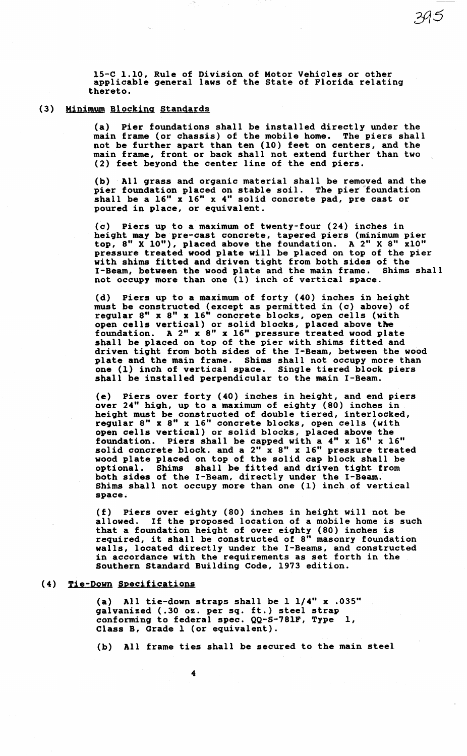15-C 1.10, Rule of Division of Motor Vehicles or other applicable general laws of the State of Florida relating thereto.

## (3) Minimum Blocking Standards

(a) Pier foundations shall be installed directly under the main frame (or chassis) of the mobile home. The piers shall not be further apart than ten (10) feet on centers, and the main frame, front or back shall not extend further than two (2) feet beyond the center line of the end piers.

395

(b) All grass and organic material shall be removed and the pier foundation placed on stable soil. The pier foundation shall be a 16" x 16" x 4" solid concrete pad, pre cast or poured in place, or equivalent.

(c) Piers up to a maximum of twenty-four (24) inches in height may be pre-cast concrete, tapered piers (minimum pier top, 8" X 10"), placed above the foundation. A 2" X 8" xlO" pressure treated wood plate will be placed on top of the pier with shims fitted and driven tight from both sides of the I-Beam, between the wood plate and the main frame. Shims shall not occupy more than one (1) inch of vertical space.

(d) Piers up to a maximum of forty (40) inches in height must be constructed (except as permitted in (c) above) of must be constructed (except as points over in (v) and it, open cells vertical) or solid blocks, placed above the foundation. A 2" x 8" x 16" pressure treated wood plate shall be placed on top of the pier with shims fitted and driven tight from both sides of the I-Beam, between the wood plate and the main frame. Shims shall not occupy more than one (1) inch of vertical space. Single tiered block piers shall be installed perpendicular to the main I-Beam.

(e) Piers over forty (40) inches in height, and end piers over 24" high, up to a maximum of eighty (80) inches in height must be constructed of double tiered, interlocked, regular 8" x 8" x 16" concrete blocks, open cells (with open cells vertical) or solid blocks, placed above the foundation. Piers shall be capped with a 4" x 16" x 16" solid concrete block. and a 2" x 8" x 16" pressure treated wood plate placed on top of the solid cap block shall be optional. Shims shall be fitted and driven tight from both sides of the I-Beam, directly under the I-Beam. Shims shall not occupy more than one (1) inch of vertical space.

(f) Piers over eighty (80) inches in height will not be allowed. If the proposed location of a mobile home is such that a foundation height of over eighty (80) inches is that a roundation height or over eighty (80) inches is<br>required, it shall be constructed of 8" masonry foundation walls, located directly under the I-Beams, and constructed in accordance with the requirements as set forth in the Southern Standard Building Code, 1973 edition.

# (4) Tie-Down Specifications

(a) All tie-down straps shall be 1 1/4" x .035" galvanized (.30 oz. per sq. ft.) steel strap subvalised (i.e. of the same of the spec.  $QQ-S-781F$ , Type 1, Class B, Grade 1 (or equivalent).

(b) All frame ties shall be secured to the main steel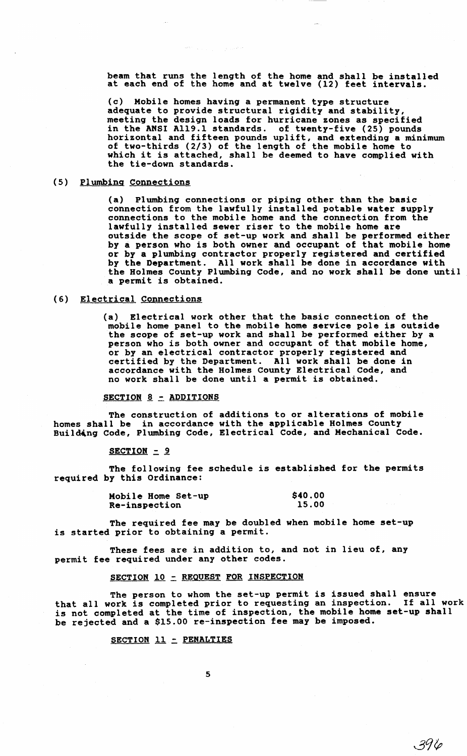$\tau_{\rm eff}$   $\tau_{\rm gas}$  decays.

beam that runs the length of the home and shall be installed scall that fails the fellow of the home and sharp be install.

(c) Mobile homes having a permanent type structure adequate to provide structural rigidity and stability, meeting the design loads for hurricane zones as specified in the ANSI A119.1 standards. of twenty-five (25) pounds horizontal and fifteen pounds uplift, and extending a minimum of two-thirds (2/3) of the length of the mobile home to which it is attached, shall be deemed to have complied with the tie-down standards.

# (5) Plumbing Connections

(a) Plumbing connections or piping other than the basic connection from the lawfully installed potable water supply connections to the mobile home and the connection from the lawfully installed sewer riser to the mobile home are outside the scope of set-up work and shall be performed either by a person who is both owner and occupant of that mobile home or by a plumbing contractor properly registered and certified by the Department. All work shall be done in accordance with the Holmes County Plumbing Code, and no work shall be done until a permit is obtained.

## (6) Electrical Connections

(a) Electrical work other that the basic connection of the mobile home panel to the mobile home service pole is outside the scope of set-up work and shall be performed either by a person who is both owner and occupant of that mobile home, or by an electrical contractor properly registered and certified by the Department. All work shall be done in accordance with the Holmes County Electrical Code, and no work shall be done until a permit is obtained.

#### SECTION 8 - ADDITIONS

The construction of additions to or alterations of mobile homes shall be in accordance with the applicable Holmes County Building Code, Plumbing Code, Electrical Code, and Mechanical Code.

 $SECTION = 9$ 

The following fee schedule is established for the permits required by this Ordinance:

| Mobile Home Set-up | \$40.00 |
|--------------------|---------|
| Re-inspection      | 15.00   |

The required fee may be doubled when mobile home set-up is started prior to obtaining a permit.

These fees are in addition to, and not in lieu of, any permit fee required under any other codes.

#### SECTION 10 - REQUEST FOR INSPECTION

The person to whom the set-up permit is issued shall ensure that all work is completed prior to requesting an inspection. If all work is not completed at the time of inspection, the mobile home set-up shall be rejected and a \$15.00 re-inspection fee may be imposed.

 $396$ 

#### SECTION 11 - PENALTIES